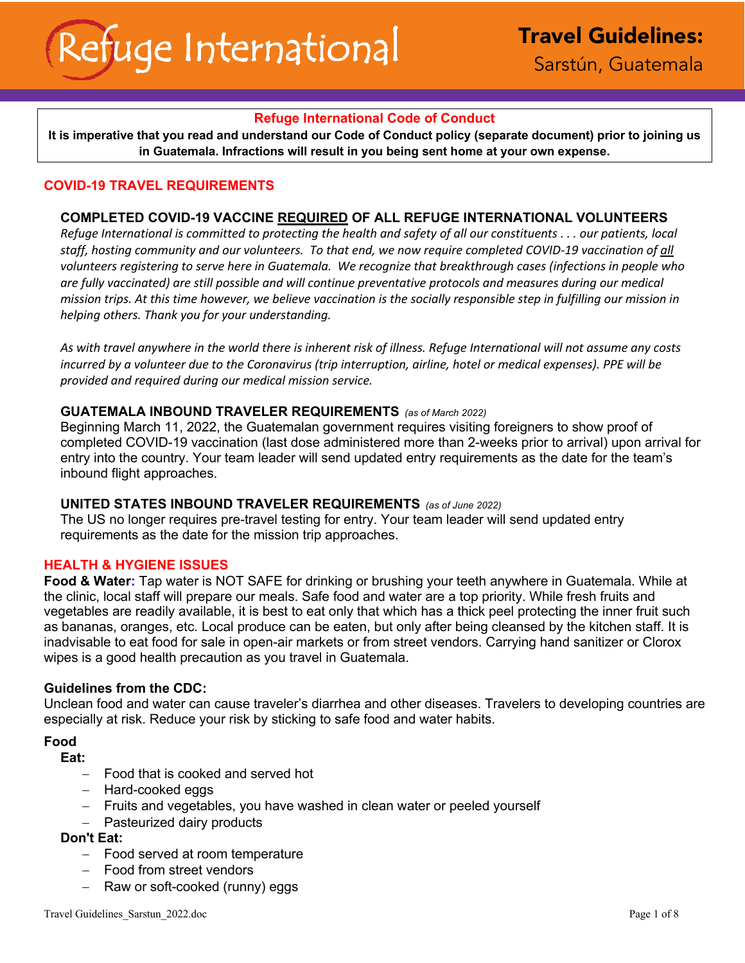# **Refuge International Code of Conduct**

**It is imperative that you read and understand our Code of Conduct policy (separate document) prior to joining us in Guatemala. Infractions will result in you being sent home at your own expense.**

# **COVID-19 TRAVEL REQUIREMENTS**

# **COMPLETED COVID-19 VACCINE REQUIRED OF ALL REFUGE INTERNATIONAL VOLUNTEERS**

*Refuge International is committed to protecting the health and safety of all our constituents . . . our patients, local staff, hosting community and our volunteers. To that end, we now require completed COVID-19 vaccination of all volunteers registering to serve here in Guatemala. We recognize that breakthrough cases (infections in people who are fully vaccinated) are still possible and will continue preventative protocols and measures during our medical mission trips. At this time however, we believe vaccination is the socially responsible step in fulfilling our mission in helping others. Thank you for your understanding.*

*As with travel anywhere in the world there is inherent risk of illness. Refuge International will not assume any costs incurred by a volunteer due to the Coronavirus (trip interruption, airline, hotel or medical expenses). PPE will be provided and required during our medical mission service.*

## **GUATEMALA INBOUND TRAVELER REQUIREMENTS** *(as of March 2022)*

Beginning March 11, 2022, the Guatemalan government requires visiting foreigners to show proof of completed COVID-19 vaccination (last dose administered more than 2-weeks prior to arrival) upon arrival for entry into the country. Your team leader will send updated entry requirements as the date for the team's inbound flight approaches.

## **UNITED STATES INBOUND TRAVELER REQUIREMENTS** *(as of June 2022)*

The US no longer requires pre-travel testing for entry. Your team leader will send updated entry requirements as the date for the mission trip approaches.

## **HEALTH & HYGIENE ISSUES**

**Food & Water:** Tap water is NOT SAFE for drinking or brushing your teeth anywhere in Guatemala. While at the clinic, local staff will prepare our meals. Safe food and water are a top priority. While fresh fruits and vegetables are readily available, it is best to eat only that which has a thick peel protecting the inner fruit such as bananas, oranges, etc. Local produce can be eaten, but only after being cleansed by the kitchen staff. It is inadvisable to eat food for sale in open-air markets or from street vendors. Carrying hand sanitizer or Clorox wipes is a good health precaution as you travel in Guatemala.

## **Guidelines from the CDC:**

Unclean food and water can cause traveler's diarrhea and other diseases. Travelers to developing countries are especially at risk. Reduce your risk by sticking to safe food and water habits.

# **Food**

**Eat:** 

- Food that is cooked and served hot
- Hard-cooked eggs
- Fruits and vegetables, you have washed in clean water or peeled yourself
- Pasteurized dairy products

## **Don't Eat:**

- Food served at room temperature
- Food from street vendors
- Raw or soft-cooked (runny) eggs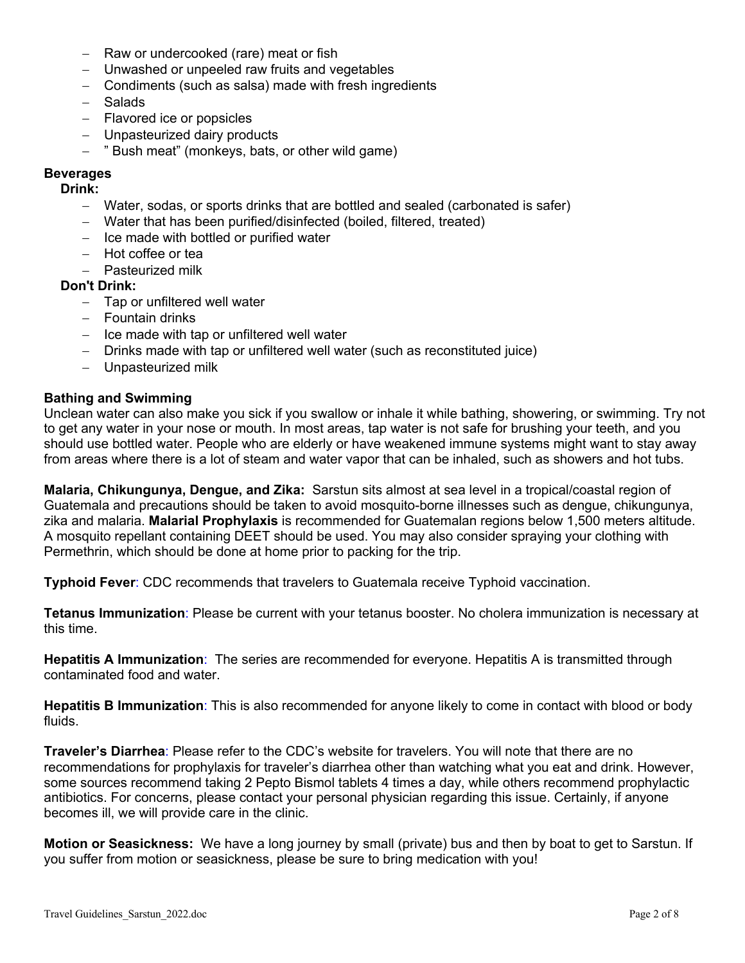- Raw or undercooked (rare) meat or fish
- Unwashed or unpeeled raw fruits and vegetables
- Condiments (such as salsa) made with fresh ingredients
- Salads
- Flavored ice or popsicles
- Unpasteurized dairy products
- " Bush meat" (monkeys, bats, or other wild game)

# **Beverages**

## **Drink:**

- Water, sodas, or sports drinks that are bottled and sealed (carbonated is safer)
- Water that has been purified/disinfected (boiled, filtered, treated)
- Ice made with bottled or purified water
- Hot coffee or tea
- Pasteurized milk

# **Don't Drink:**

- Tap or unfiltered well water
- Fountain drinks
- Ice made with tap or unfiltered well water
- Drinks made with tap or unfiltered well water (such as reconstituted juice)
- Unpasteurized milk

## **Bathing and Swimming**

Unclean water can also make you sick if you swallow or inhale it while bathing, showering, or swimming. Try not to get any water in your nose or mouth. In most areas, tap water is not safe for brushing your teeth, and you should use bottled water. People who are elderly or have weakened immune systems might want to stay away from areas where there is a lot of steam and water vapor that can be inhaled, such as showers and hot tubs.

**Malaria, Chikungunya, Dengue, and Zika:** Sarstun sits almost at sea level in a tropical/coastal region of Guatemala and precautions should be taken to avoid mosquito-borne illnesses such as dengue, chikungunya, zika and malaria. **Malarial Prophylaxis** is recommended for Guatemalan regions below 1,500 meters altitude. A mosquito repellant containing DEET should be used. You may also consider spraying your clothing with Permethrin, which should be done at home prior to packing for the trip.

**Typhoid Fever**: CDC recommends that travelers to Guatemala receive Typhoid vaccination.

**Tetanus Immunization**: Please be current with your tetanus booster. No cholera immunization is necessary at this time.

**Hepatitis A Immunization**: The series are recommended for everyone. Hepatitis A is transmitted through contaminated food and water.

**Hepatitis B Immunization**: This is also recommended for anyone likely to come in contact with blood or body fluids.

**Traveler's Diarrhea**: Please refer to the CDC's website for travelers. You will note that there are no recommendations for prophylaxis for traveler's diarrhea other than watching what you eat and drink. However, some sources recommend taking 2 Pepto Bismol tablets 4 times a day, while others recommend prophylactic antibiotics. For concerns, please contact your personal physician regarding this issue. Certainly, if anyone becomes ill, we will provide care in the clinic.

**Motion or Seasickness:** We have a long journey by small (private) bus and then by boat to get to Sarstun. If you suffer from motion or seasickness, please be sure to bring medication with you!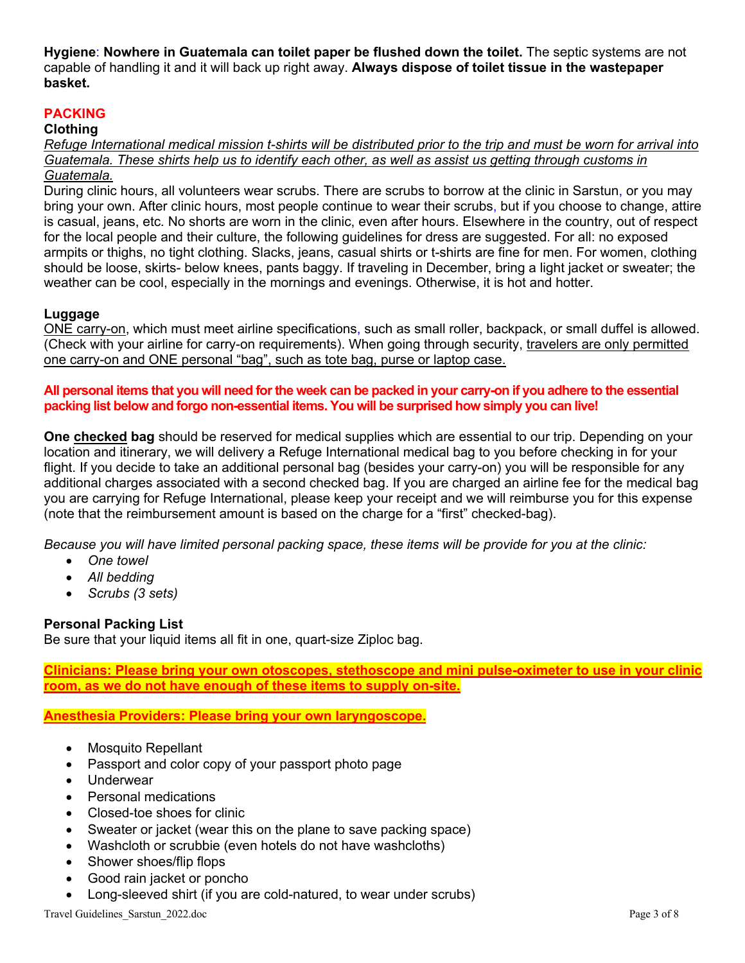**Hygiene**: **Nowhere in Guatemala can toilet paper be flushed down the toilet.** The septic systems are not capable of handling it and it will back up right away. **Always dispose of toilet tissue in the wastepaper basket.** 

# **PACKING**

# **Clothing**

*Refuge International medical mission t-shirts will be distributed prior to the trip and must be worn for arrival into Guatemala. These shirts help us to identify each other, as well as assist us getting through customs in Guatemala.*

During clinic hours, all volunteers wear scrubs. There are scrubs to borrow at the clinic in Sarstun, or you may bring your own. After clinic hours, most people continue to wear their scrubs, but if you choose to change, attire is casual, jeans, etc*.* No shorts are worn in the clinic, even after hours. Elsewhere in the country, out of respect for the local people and their culture, the following guidelines for dress are suggested. For all: no exposed armpits or thighs, no tight clothing. Slacks, jeans, casual shirts or t-shirts are fine for men. For women, clothing should be loose, skirts- below knees, pants baggy. If traveling in December, bring a light jacket or sweater; the weather can be cool, especially in the mornings and evenings. Otherwise, it is hot and hotter.

# **Luggage**

ONE carry-on, which must meet airline specifications, such as small roller, backpack, or small duffel is allowed. (Check with your airline for carry-on requirements). When going through security, travelers are only permitted one carry-on and ONE personal "bag", such as tote bag, purse or laptop case.

**All personal items that you will need for the week can be packed in your carry-on if you adhere to the essential packing list below and forgo non-essential items. You will be surprised how simply you can live!**

**One checked bag** should be reserved for medical supplies which are essential to our trip. Depending on your location and itinerary, we will delivery a Refuge International medical bag to you before checking in for your flight. If you decide to take an additional personal bag (besides your carry-on) you will be responsible for any additional charges associated with a second checked bag. If you are charged an airline fee for the medical bag you are carrying for Refuge International, please keep your receipt and we will reimburse you for this expense (note that the reimbursement amount is based on the charge for a "first" checked-bag).

*Because you will have limited personal packing space, these items will be provide for you at the clinic:*

- *One towel*
- *All bedding*
- *Scrubs (3 sets)*

# **Personal Packing List**

Be sure that your liquid items all fit in one, quart-size Ziploc bag.

**Clinicians: Please bring your own otoscopes, stethoscope and mini pulse-oximeter to use in your clinic room, as we do not have enough of these items to supply on-site.** 

**Anesthesia Providers: Please bring your own laryngoscope.**

- Mosquito Repellant
- Passport and color copy of your passport photo page
- Underwear
- Personal medications
- Closed-toe shoes for clinic
- Sweater or jacket (wear this on the plane to save packing space)
- Washcloth or scrubbie (even hotels do not have washcloths)
- Shower shoes/flip flops
- Good rain jacket or poncho
- Long-sleeved shirt (if you are cold-natured, to wear under scrubs)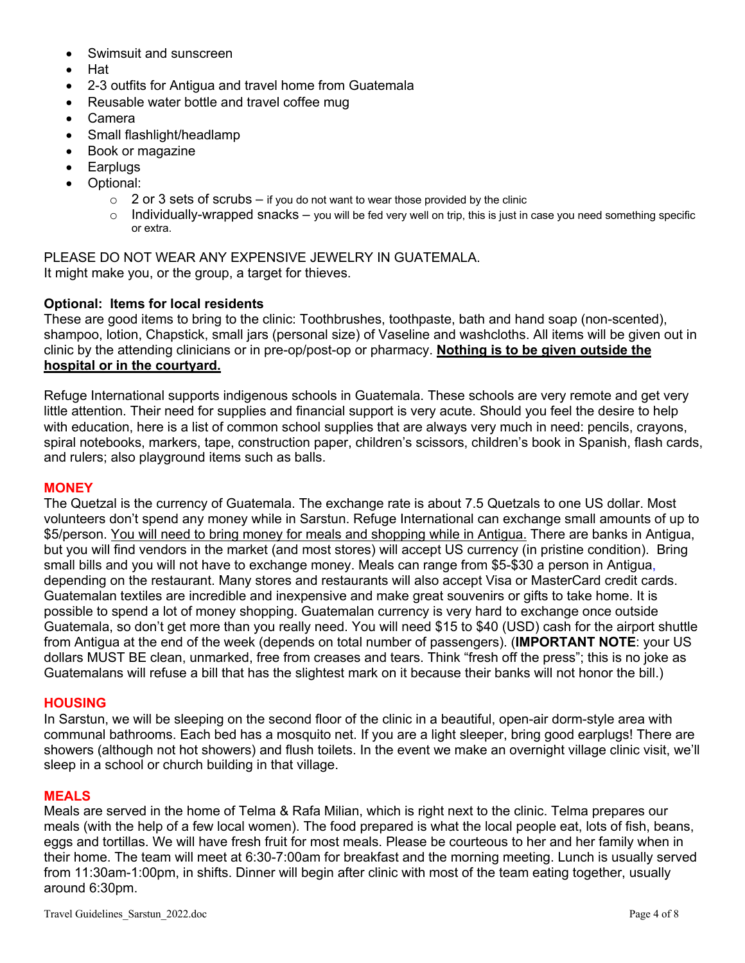- Swimsuit and sunscreen
- Hat
- 2-3 outfits for Antigua and travel home from Guatemala
- Reusable water bottle and travel coffee mug
- Camera
- Small flashlight/headlamp
- Book or magazine
- **Earplugs**
- Optional:
	- $\circ$  2 or 3 sets of scrubs if you do not want to wear those provided by the clinic
	- $\circ$  Individually-wrapped snacks you will be fed very well on trip, this is just in case you need something specific or extra.

PLEASE DO NOT WEAR ANY EXPENSIVE JEWELRY IN GUATEMALA. It might make you, or the group, a target for thieves.

## **Optional: Items for local residents**

These are good items to bring to the clinic: Toothbrushes, toothpaste, bath and hand soap (non-scented), shampoo, lotion, Chapstick, small jars (personal size) of Vaseline and washcloths. All items will be given out in clinic by the attending clinicians or in pre-op/post-op or pharmacy. **Nothing is to be given outside the hospital or in the courtyard.**

Refuge International supports indigenous schools in Guatemala. These schools are very remote and get very little attention. Their need for supplies and financial support is very acute. Should you feel the desire to help with education, here is a list of common school supplies that are always very much in need: pencils, crayons, spiral notebooks, markers, tape, construction paper, children's scissors, children's book in Spanish, flash cards, and rulers; also playground items such as balls.

### **MONEY**

The Quetzal is the currency of Guatemala. The exchange rate is about 7.5 Quetzals to one US dollar. Most volunteers don't spend any money while in Sarstun. Refuge International can exchange small amounts of up to \$5/person. You will need to bring money for meals and shopping while in Antigua. There are banks in Antigua, but you will find vendors in the market (and most stores) will accept US currency (in pristine condition). Bring small bills and you will not have to exchange money. Meals can range from \$5-\$30 a person in Antigua, depending on the restaurant. Many stores and restaurants will also accept Visa or MasterCard credit cards. Guatemalan textiles are incredible and inexpensive and make great souvenirs or gifts to take home. It is possible to spend a lot of money shopping. Guatemalan currency is very hard to exchange once outside Guatemala, so don't get more than you really need. You will need \$15 to \$40 (USD) cash for the airport shuttle from Antigua at the end of the week (depends on total number of passengers). (**IMPORTANT NOTE**: your US dollars MUST BE clean, unmarked, free from creases and tears. Think "fresh off the press"; this is no joke as Guatemalans will refuse a bill that has the slightest mark on it because their banks will not honor the bill.)

#### **HOUSING**

In Sarstun, we will be sleeping on the second floor of the clinic in a beautiful, open-air dorm-style area with communal bathrooms. Each bed has a mosquito net. If you are a light sleeper, bring good earplugs! There are showers (although not hot showers) and flush toilets. In the event we make an overnight village clinic visit, we'll sleep in a school or church building in that village.

#### **MEALS**

Meals are served in the home of Telma & Rafa Milian, which is right next to the clinic. Telma prepares our meals (with the help of a few local women). The food prepared is what the local people eat, lots of fish, beans, eggs and tortillas. We will have fresh fruit for most meals. Please be courteous to her and her family when in their home. The team will meet at 6:30-7:00am for breakfast and the morning meeting. Lunch is usually served from 11:30am-1:00pm, in shifts. Dinner will begin after clinic with most of the team eating together, usually around 6:30pm.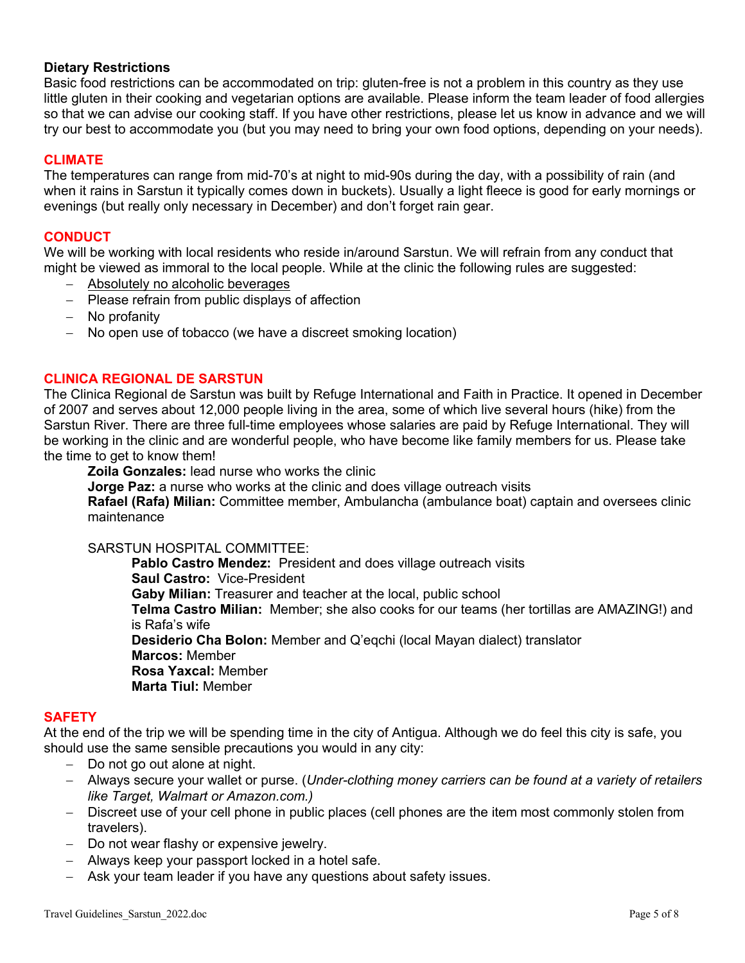# **Dietary Restrictions**

Basic food restrictions can be accommodated on trip: gluten-free is not a problem in this country as they use little gluten in their cooking and vegetarian options are available. Please inform the team leader of food allergies so that we can advise our cooking staff. If you have other restrictions, please let us know in advance and we will try our best to accommodate you (but you may need to bring your own food options, depending on your needs).

# **CLIMATE**

The temperatures can range from mid-70's at night to mid-90s during the day, with a possibility of rain (and when it rains in Sarstun it typically comes down in buckets). Usually a light fleece is good for early mornings or evenings (but really only necessary in December) and don't forget rain gear.

## **CONDUCT**

We will be working with local residents who reside in/around Sarstun. We will refrain from any conduct that might be viewed as immoral to the local people. While at the clinic the following rules are suggested:

- Absolutely no alcoholic beverages
- Please refrain from public displays of affection
- No profanity
- No open use of tobacco (we have a discreet smoking location)

# **CLINICA REGIONAL DE SARSTUN**

The Clinica Regional de Sarstun was built by Refuge International and Faith in Practice. It opened in December of 2007 and serves about 12,000 people living in the area, some of which live several hours (hike) from the Sarstun River. There are three full-time employees whose salaries are paid by Refuge International. They will be working in the clinic and are wonderful people, who have become like family members for us. Please take the time to get to know them!

**Zoila Gonzales:** lead nurse who works the clinic

**Jorge Paz:** a nurse who works at the clinic and does village outreach visits

**Rafael (Rafa) Milian:** Committee member, Ambulancha (ambulance boat) captain and oversees clinic maintenance

# SARSTUN HOSPITAL COMMITTEE:

**Pablo Castro Mendez:** President and does village outreach visits **Saul Castro:** Vice-President **Gaby Milian:** Treasurer and teacher at the local, public school **Telma Castro Milian:** Member; she also cooks for our teams (her tortillas are AMAZING!) and is Rafa's wife **Desiderio Cha Bolon:** Member and Q'eqchi (local Mayan dialect) translator **Marcos:** Member **Rosa Yaxcal:** Member **Marta Tiul:** Member

## **SAFETY**

At the end of the trip we will be spending time in the city of Antigua. Although we do feel this city is safe, you should use the same sensible precautions you would in any city:

- Do not go out alone at night.
- Always secure your wallet or purse. (*Under-clothing money carriers can be found at a variety of retailers like Target, Walmart or Amazon.com.)*
- Discreet use of your cell phone in public places (cell phones are the item most commonly stolen from travelers).
- Do not wear flashy or expensive jewelry.
- Always keep your passport locked in a hotel safe.
- Ask your team leader if you have any questions about safety issues.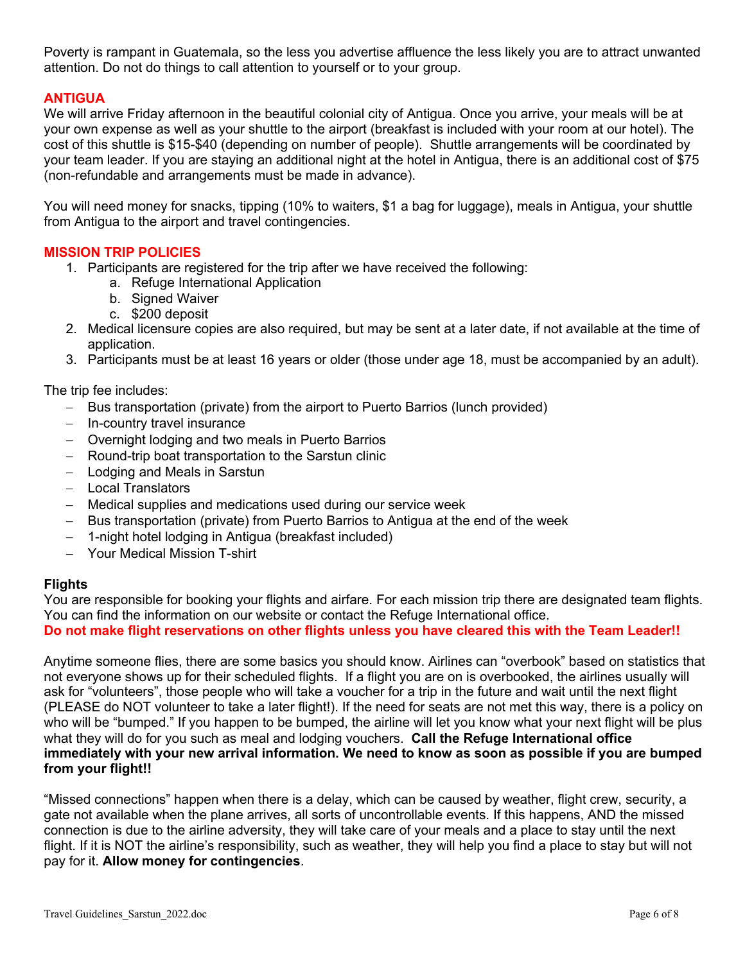Poverty is rampant in Guatemala, so the less you advertise affluence the less likely you are to attract unwanted attention. Do not do things to call attention to yourself or to your group.

# **ANTIGUA**

We will arrive Friday afternoon in the beautiful colonial city of Antigua. Once you arrive, your meals will be at your own expense as well as your shuttle to the airport (breakfast is included with your room at our hotel). The cost of this shuttle is \$15-\$40 (depending on number of people). Shuttle arrangements will be coordinated by your team leader. If you are staying an additional night at the hotel in Antigua, there is an additional cost of \$75 (non-refundable and arrangements must be made in advance).

You will need money for snacks, tipping (10% to waiters, \$1 a bag for luggage), meals in Antigua, your shuttle from Antigua to the airport and travel contingencies.

## **MISSION TRIP POLICIES**

- 1. Participants are registered for the trip after we have received the following:
	- a. Refuge International Application
	- b. Signed Waiver
	- c. \$200 deposit
- 2. Medical licensure copies are also required, but may be sent at a later date, if not available at the time of application.
- 3. Participants must be at least 16 years or older (those under age 18, must be accompanied by an adult).

The trip fee includes:

- Bus transportation (private) from the airport to Puerto Barrios (lunch provided)
- In-country travel insurance
- Overnight lodging and two meals in Puerto Barrios
- Round-trip boat transportation to the Sarstun clinic
- Lodging and Meals in Sarstun
- Local Translators
- Medical supplies and medications used during our service week
- Bus transportation (private) from Puerto Barrios to Antigua at the end of the week
- 1-night hotel lodging in Antigua (breakfast included)
- Your Medical Mission T-shirt

## **Flights**

You are responsible for booking your flights and airfare. For each mission trip there are designated team flights. You can find the information on our website or contact the Refuge International office. **Do not make flight reservations on other flights unless you have cleared this with the Team Leader!!** 

Anytime someone flies, there are some basics you should know. Airlines can "overbook" based on statistics that not everyone shows up for their scheduled flights. If a flight you are on is overbooked, the airlines usually will ask for "volunteers", those people who will take a voucher for a trip in the future and wait until the next flight (PLEASE do NOT volunteer to take a later flight!). If the need for seats are not met this way, there is a policy on who will be "bumped." If you happen to be bumped, the airline will let you know what your next flight will be plus what they will do for you such as meal and lodging vouchers. **Call the Refuge International office immediately with your new arrival information. We need to know as soon as possible if you are bumped from your flight!!**

"Missed connections" happen when there is a delay, which can be caused by weather, flight crew, security, a gate not available when the plane arrives, all sorts of uncontrollable events. If this happens, AND the missed connection is due to the airline adversity, they will take care of your meals and a place to stay until the next flight. If it is NOT the airline's responsibility, such as weather, they will help you find a place to stay but will not pay for it. **Allow money for contingencies**.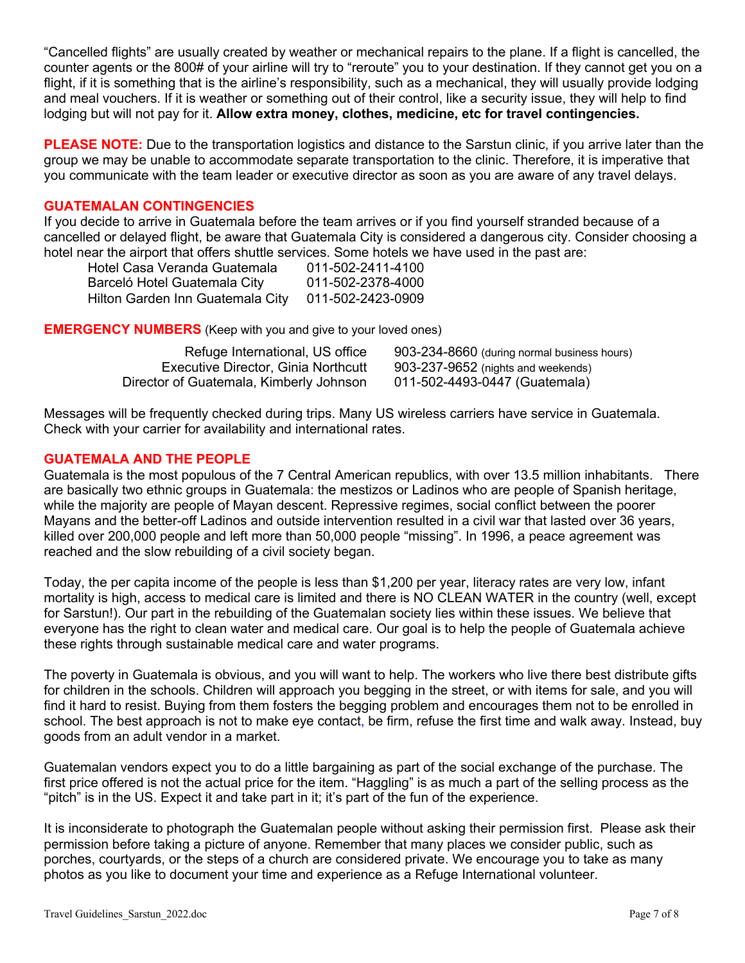"Cancelled flights" are usually created by weather or mechanical repairs to the plane. If a flight is cancelled, the counter agents or the 800# of your airline will try to "reroute" you to your destination. If they cannot get you on a flight, if it is something that is the airline's responsibility, such as a mechanical, they will usually provide lodging and meal vouchers. If it is weather or something out of their control, like a security issue, they will help to find lodging but will not pay for it. **Allow extra money, clothes, medicine, etc for travel contingencies.**

**PLEASE NOTE:** Due to the transportation logistics and distance to the Sarstun clinic, if you arrive later than the group we may be unable to accommodate separate transportation to the clinic. Therefore, it is imperative that you communicate with the team leader or executive director as soon as you are aware of any travel delays.

# **GUATEMALAN CONTINGENCIES**

If you decide to arrive in Guatemala before the team arrives or if you find yourself stranded because of a cancelled or delayed flight, be aware that Guatemala City is considered a dangerous city. Consider choosing a hotel near the airport that offers shuttle services. Some hotels we have used in the past are:

| Hotel Casa Veranda Guatemala     | 011-502-2411-4100 |
|----------------------------------|-------------------|
| Barceló Hotel Guatemala City     | 011-502-2378-4000 |
| Hilton Garden Inn Guatemala City | 011-502-2423-0909 |

**EMERGENCY NUMBERS** (Keep with you and give to your loved ones)

| Refuge International, US office            | 903-234-8660 (during normal business hours) |
|--------------------------------------------|---------------------------------------------|
| <b>Executive Director, Ginia Northcutt</b> | 903-237-9652 (nights and weekends)          |
| Director of Guatemala, Kimberly Johnson    | 011-502-4493-0447 (Guatemala)               |

Messages will be frequently checked during trips. Many US wireless carriers have service in Guatemala. Check with your carrier for availability and international rates.

# **GUATEMALA AND THE PEOPLE**

Guatemala is the most populous of the 7 Central American republics, with over 13.5 million inhabitants. There are basically two ethnic groups in Guatemala: the mestizos or Ladinos who are people of Spanish heritage, while the majority are people of Mayan descent. Repressive regimes, social conflict between the poorer Mayans and the better-off Ladinos and outside intervention resulted in a civil war that lasted over 36 years, killed over 200,000 people and left more than 50,000 people "missing". In 1996, a peace agreement was reached and the slow rebuilding of a civil society began.

Today, the per capita income of the people is less than \$1,200 per year, literacy rates are very low, infant mortality is high, access to medical care is limited and there is NO CLEAN WATER in the country (well, except for Sarstun!). Our part in the rebuilding of the Guatemalan society lies within these issues. We believe that everyone has the right to clean water and medical care. Our goal is to help the people of Guatemala achieve these rights through sustainable medical care and water programs.

The poverty in Guatemala is obvious, and you will want to help. The workers who live there best distribute gifts for children in the schools. Children will approach you begging in the street, or with items for sale, and you will find it hard to resist. Buying from them fosters the begging problem and encourages them not to be enrolled in school. The best approach is not to make eye contact, be firm, refuse the first time and walk away. Instead, buy goods from an adult vendor in a market.

Guatemalan vendors expect you to do a little bargaining as part of the social exchange of the purchase. The first price offered is not the actual price for the item. "Haggling" is as much a part of the selling process as the "pitch" is in the US. Expect it and take part in it; it's part of the fun of the experience.

It is inconsiderate to photograph the Guatemalan people without asking their permission first. Please ask their permission before taking a picture of anyone. Remember that many places we consider public, such as porches, courtyards, or the steps of a church are considered private. We encourage you to take as many photos as you like to document your time and experience as a Refuge International volunteer.